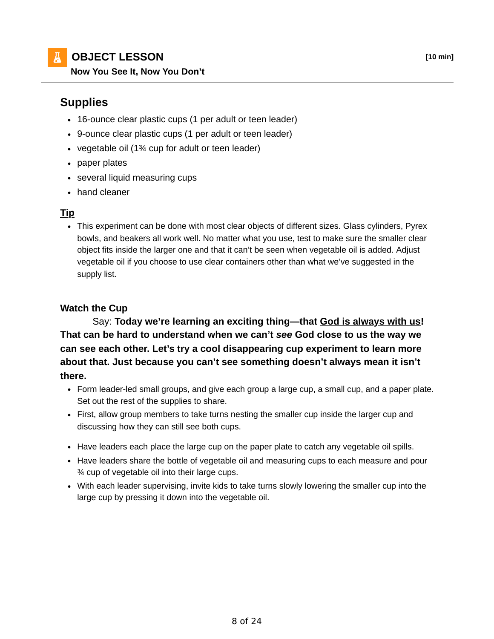**OBJECT LESSON [10 min]**

## **Supplies**

- 16-ounce clear plastic cups (1 per adult or teen leader)
- 9-ounce clear plastic cups (1 per adult or teen leader)
- vegetable oil (1¾ cup for adult or teen leader)
- paper plates
- several liquid measuring cups
- hand cleaner

## **Tip**

This experiment can be done with most clear objects of different sizes. Glass cylinders, Pyrex bowls, and beakers all work well. No matter what you use, test to make sure the smaller clear object fits inside the larger one and that it can't be seen when vegetable oil is added. Adjust vegetable oil if you choose to use clear containers other than what we've suggested in the supply list.

## **Watch the Cup**

 Say: **Today we're learning an exciting thing—that God is always with us! That can be hard to understand when we can't** *see* **God close to us the way we can see each other. Let's try a cool disappearing cup experiment to learn more about that. Just because you can't see something doesn't always mean it isn't there.**

- Form leader-led small groups, and give each group a large cup, a small cup, and a paper plate. Set out the rest of the supplies to share.
- First, allow group members to take turns nesting the smaller cup inside the larger cup and discussing how they can still see both cups.
- Have leaders each place the large cup on the paper plate to catch any vegetable oil spills.
- Have leaders share the bottle of vegetable oil and measuring cups to each measure and pour ¾ cup of vegetable oil into their large cups.
- With each leader supervising, invite kids to take turns slowly lowering the smaller cup into the large cup by pressing it down into the vegetable oil.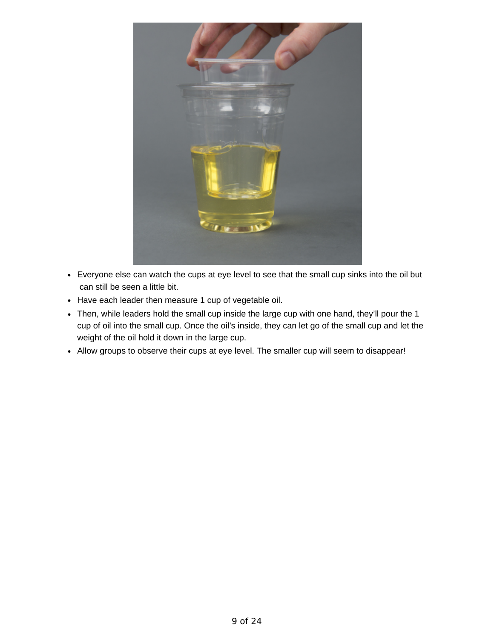

- Everyone else can watch the cups at eye level to see that the small cup sinks into the oil but can still be seen a little bit.
- Have each leader then measure 1 cup of vegetable oil.
- Then, while leaders hold the small cup inside the large cup with one hand, they'll pour the 1 cup of oil into the small cup. Once the oil's inside, they can let go of the small cup and let the weight of the oil hold it down in the large cup.
- Allow groups to observe their cups at eye level. The smaller cup will seem to disappear!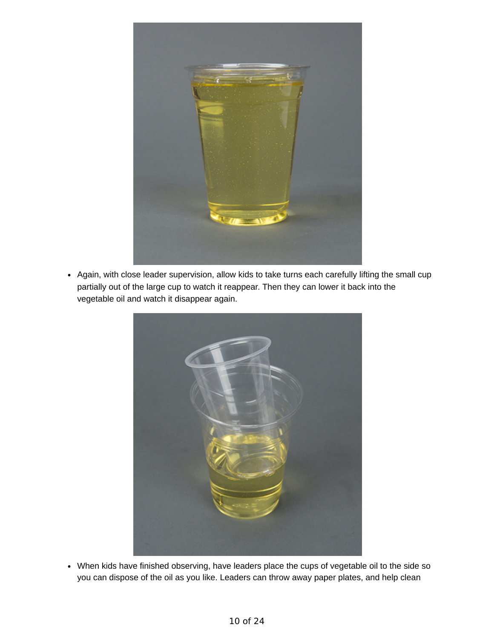

Again, with close leader supervision, allow kids to take turns each carefully lifting the small cup partially out of the large cup to watch it reappear. Then they can lower it back into the vegetable oil and watch it disappear again.



When kids have finished observing, have leaders place the cups of vegetable oil to the side so you can dispose of the oil as you like. Leaders can throw away paper plates, and help clean